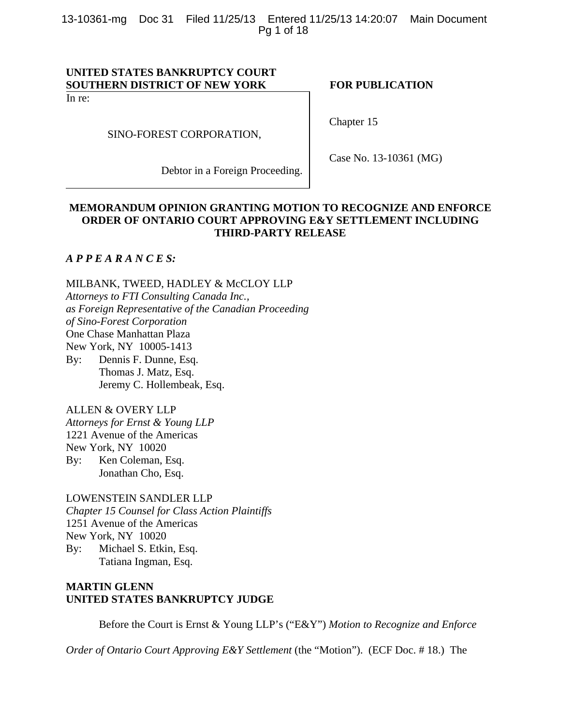13-10361-mg Doc 31 Filed 11/25/13 Entered 11/25/13 14:20:07 Main Document Pg 1 of 18

# **UNITED STATES BANKRUPTCY COURT**  SOUTHERN DISTRICT OF NEW YORK FOR PUBLICATION

In re:

SINO-FOREST CORPORATION,

Debtor in a Foreign Proceeding.

Chapter 15

Case No. 13-10361 (MG)

# **MEMORANDUM OPINION GRANTING MOTION TO RECOGNIZE AND ENFORCE ORDER OF ONTARIO COURT APPROVING E&Y SETTLEMENT INCLUDING THIRD-PARTY RELEASE**

*A P P E A R A N C E S:*

MILBANK, TWEED, HADLEY & McCLOY LLP *Attorneys to FTI Consulting Canada Inc., as Foreign Representative of the Canadian Proceeding of Sino-Forest Corporation* One Chase Manhattan Plaza New York, NY 10005-1413 By: Dennis F. Dunne, Esq.

 Thomas J. Matz, Esq. Jeremy C. Hollembeak, Esq.

ALLEN & OVERY LLP

*Attorneys for Ernst & Young LLP*  1221 Avenue of the Americas New York, NY 10020 By: Ken Coleman, Esq. Jonathan Cho, Esq.

LOWENSTEIN SANDLER LLP *Chapter 15 Counsel for Class Action Plaintiffs* 1251 Avenue of the Americas New York, NY 10020 By: Michael S. Etkin, Esq. Tatiana Ingman, Esq.

# **MARTIN GLENN UNITED STATES BANKRUPTCY JUDGE**

Before the Court is Ernst & Young LLP's ("E&Y") *Motion to Recognize and Enforce* 

*Order of Ontario Court Approving E&Y Settlement* (the "Motion"). (ECF Doc. #18.) The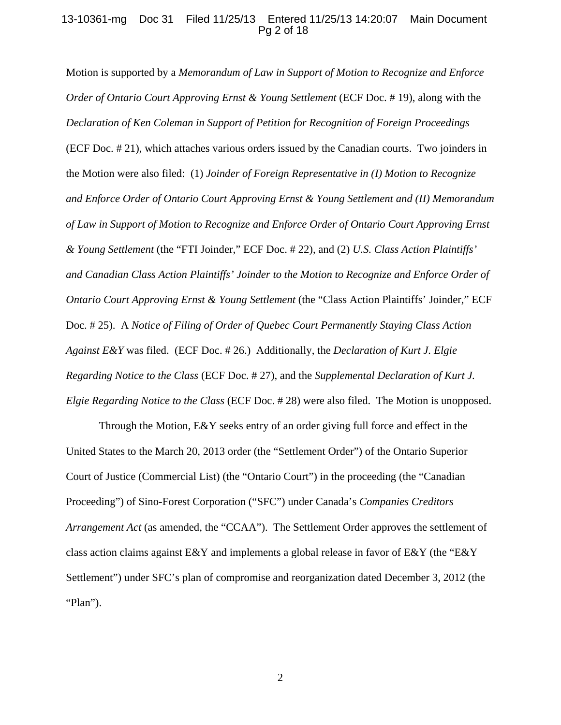### 13-10361-mg Doc 31 Filed 11/25/13 Entered 11/25/13 14:20:07 Main Document Pg 2 of 18

Motion is supported by a *Memorandum of Law in Support of Motion to Recognize and Enforce Order of Ontario Court Approving Ernst & Young Settlement* (ECF Doc. # 19), along with the *Declaration of Ken Coleman in Support of Petition for Recognition of Foreign Proceedings*  (ECF Doc. # 21), which attaches various orders issued by the Canadian courts. Two joinders in the Motion were also filed: (1) *Joinder of Foreign Representative in (I) Motion to Recognize and Enforce Order of Ontario Court Approving Ernst & Young Settlement and (II) Memorandum of Law in Support of Motion to Recognize and Enforce Order of Ontario Court Approving Ernst & Young Settlement* (the "FTI Joinder," ECF Doc. # 22), and (2) *U.S. Class Action Plaintiffs' and Canadian Class Action Plaintiffs' Joinder to the Motion to Recognize and Enforce Order of Ontario Court Approving Ernst & Young Settlement* (the "Class Action Plaintiffs' Joinder," ECF Doc. # 25). A *Notice of Filing of Order of Quebec Court Permanently Staying Class Action Against E&Y* was filed. (ECF Doc. # 26.) Additionally, the *Declaration of Kurt J. Elgie Regarding Notice to the Class* (ECF Doc. # 27), and the *Supplemental Declaration of Kurt J. Elgie Regarding Notice to the Class* (ECF Doc. # 28) were also filed. The Motion is unopposed.

Through the Motion,  $E\&Y$  seeks entry of an order giving full force and effect in the United States to the March 20, 2013 order (the "Settlement Order") of the Ontario Superior Court of Justice (Commercial List) (the "Ontario Court") in the proceeding (the "Canadian Proceeding") of Sino-Forest Corporation ("SFC") under Canada's *Companies Creditors Arrangement Act* (as amended, the "CCAA"). The Settlement Order approves the settlement of class action claims against  $E\&Y$  and implements a global release in favor of  $E\&Y$  (the "E&Y" Settlement") under SFC's plan of compromise and reorganization dated December 3, 2012 (the "Plan").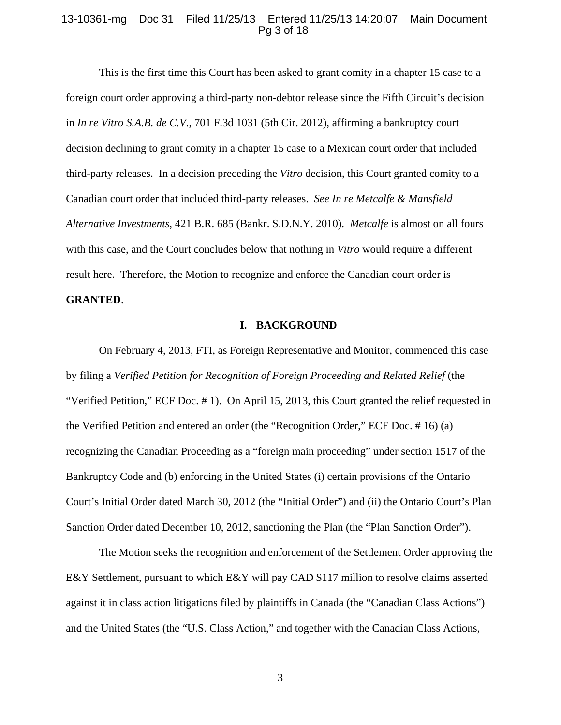## 13-10361-mg Doc 31 Filed 11/25/13 Entered 11/25/13 14:20:07 Main Document Pg 3 of 18

This is the first time this Court has been asked to grant comity in a chapter 15 case to a foreign court order approving a third-party non-debtor release since the Fifth Circuit's decision in *In re Vitro S.A.B. de C.V.*, 701 F.3d 1031 (5th Cir. 2012), affirming a bankruptcy court decision declining to grant comity in a chapter 15 case to a Mexican court order that included third-party releases. In a decision preceding the *Vitro* decision, this Court granted comity to a Canadian court order that included third-party releases. *See In re Metcalfe & Mansfield Alternative Investments*, 421 B.R. 685 (Bankr. S.D.N.Y. 2010). *Metcalfe* is almost on all fours with this case, and the Court concludes below that nothing in *Vitro* would require a different result here. Therefore, the Motion to recognize and enforce the Canadian court order is **GRANTED**.

#### **I. BACKGROUND**

On February 4, 2013, FTI, as Foreign Representative and Monitor, commenced this case by filing a Verified Petition for Recognition of Foreign Proceeding and Related Relief (the "Verified Petition," ECF Doc. # 1). On April 15, 2013, this Court granted the relief requested in the Verified Petition and entered an order (the "Recognition Order," ECF Doc. # 16) (a) recognizing the Canadian Proceeding as a "foreign main proceeding" under section 1517 of the Bankruptcy Code and (b) enforcing in the United States (i) certain provisions of the Ontario Court's Initial Order dated March 30, 2012 (the "Initial Order") and (ii) the Ontario Court's Plan Sanction Order dated December 10, 2012, sanctioning the Plan (the "Plan Sanction Order").

The Motion seeks the recognition and enforcement of the Settlement Order approving the E&Y Settlement, pursuant to which E&Y will pay CAD \$117 million to resolve claims asserted against it in class action litigations filed by plaintiffs in Canada (the "Canadian Class Actions") and the United States (the "U.S. Class Action," and together with the Canadian Class Actions,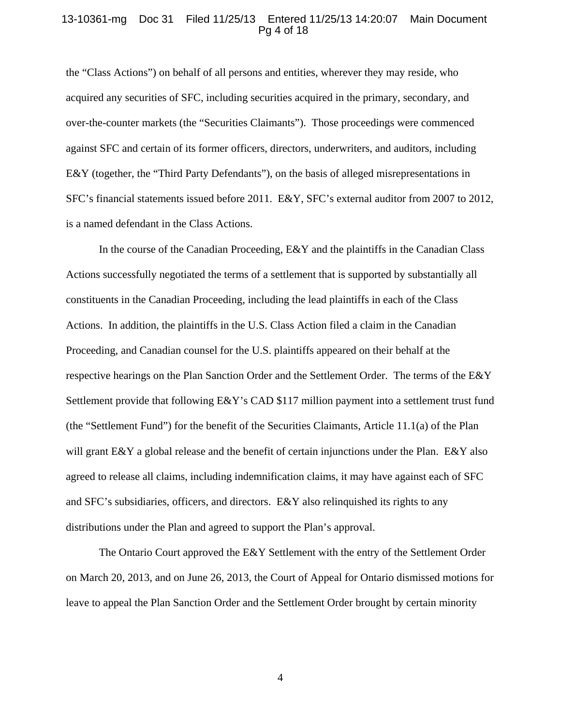### 13-10361-mg Doc 31 Filed 11/25/13 Entered 11/25/13 14:20:07 Main Document Pg 4 of 18

the "Class Actions") on behalf of all persons and entities, wherever they may reside, who acquired any securities of SFC, including securities acquired in the primary, secondary, and over-the-counter markets (the "Securities Claimants"). Those proceedings were commenced against SFC and certain of its former officers, directors, underwriters, and auditors, including E&Y (together, the "Third Party Defendants"), on the basis of alleged misrepresentations in SFC's financial statements issued before 2011. E&Y, SFC's external auditor from 2007 to 2012, is a named defendant in the Class Actions.

In the course of the Canadian Proceeding, E&Y and the plaintiffs in the Canadian Class Actions successfully negotiated the terms of a settlement that is supported by substantially all constituents in the Canadian Proceeding, including the lead plaintiffs in each of the Class Actions. In addition, the plaintiffs in the U.S. Class Action filed a claim in the Canadian Proceeding, and Canadian counsel for the U.S. plaintiffs appeared on their behalf at the respective hearings on the Plan Sanction Order and the Settlement Order. The terms of the E&Y Settlement provide that following E&Y's CAD \$117 million payment into a settlement trust fund (the "Settlement Fund") for the benefit of the Securities Claimants, Article 11.1(a) of the Plan will grant  $E\&Y$  a global release and the benefit of certain injunctions under the Plan.  $E\&Y$  also agreed to release all claims, including indemnification claims, it may have against each of SFC and SFC's subsidiaries, officers, and directors. E&Y also relinquished its rights to any distributions under the Plan and agreed to support the Plan's approval.

The Ontario Court approved the E&Y Settlement with the entry of the Settlement Order on March 20, 2013, and on June 26, 2013, the Court of Appeal for Ontario dismissed motions for leave to appeal the Plan Sanction Order and the Settlement Order brought by certain minority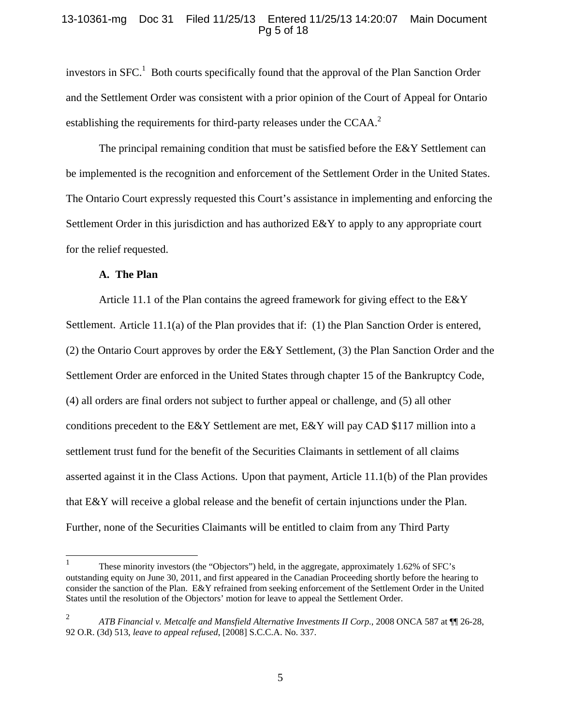### 13-10361-mg Doc 31 Filed 11/25/13 Entered 11/25/13 14:20:07 Main Document Pg 5 of 18

investors in  $SFC<sup>1</sup>$  Both courts specifically found that the approval of the Plan Sanction Order and the Settlement Order was consistent with a prior opinion of the Court of Appeal for Ontario establishing the requirements for third-party releases under the CCAA.<sup>2</sup>

The principal remaining condition that must be satisfied before the E&Y Settlement can be implemented is the recognition and enforcement of the Settlement Order in the United States. The Ontario Court expressly requested this Court's assistance in implementing and enforcing the Settlement Order in this jurisdiction and has authorized  $E\&Y$  to apply to any appropriate court for the relief requested.

### **A. The Plan**

Article 11.1 of the Plan contains the agreed framework for giving effect to the E&Y Settlement. Article 11.1(a) of the Plan provides that if: (1) the Plan Sanction Order is entered, (2) the Ontario Court approves by order the E&Y Settlement, (3) the Plan Sanction Order and the Settlement Order are enforced in the United States through chapter 15 of the Bankruptcy Code, (4) all orders are final orders not subject to further appeal or challenge, and (5) all other conditions precedent to the E&Y Settlement are met, E&Y will pay CAD \$117 million into a settlement trust fund for the benefit of the Securities Claimants in settlement of all claims asserted against it in the Class Actions. Upon that payment, Article 11.1(b) of the Plan provides that E&Y will receive a global release and the benefit of certain injunctions under the Plan. Further, none of the Securities Claimants will be entitled to claim from any Third Party

<sup>|&</sup>lt;br>|<br>| These minority investors (the "Objectors") held, in the aggregate, approximately 1.62% of SFC's outstanding equity on June 30, 2011, and first appeared in the Canadian Proceeding shortly before the hearing to consider the sanction of the Plan. E&Y refrained from seeking enforcement of the Settlement Order in the United States until the resolution of the Objectors' motion for leave to appeal the Settlement Order.

<sup>2</sup> *ATB Financial v. Metcalfe and Mansfield Alternative Investments II Corp.*, 2008 ONCA 587 at ¶¶ 26-28, 92 O.R. (3d) 513, *leave to appeal refused*, [2008] S.C.C.A. No. 337.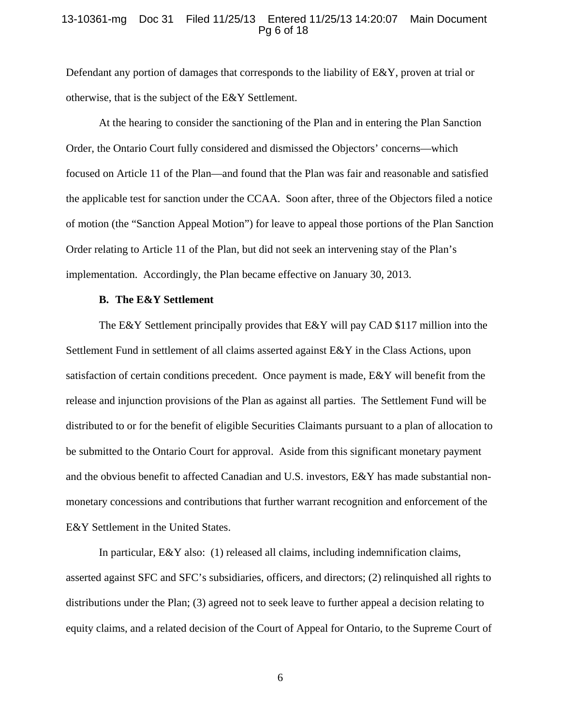## 13-10361-mg Doc 31 Filed 11/25/13 Entered 11/25/13 14:20:07 Main Document Pg 6 of 18

Defendant any portion of damages that corresponds to the liability of E&Y, proven at trial or otherwise, that is the subject of the E&Y Settlement.

At the hearing to consider the sanctioning of the Plan and in entering the Plan Sanction Order, the Ontario Court fully considered and dismissed the Objectors' concerns—which focused on Article 11 of the Plan—and found that the Plan was fair and reasonable and satisfied the applicable test for sanction under the CCAA. Soon after, three of the Objectors filed a notice of motion (the "Sanction Appeal Motion") for leave to appeal those portions of the Plan Sanction Order relating to Article 11 of the Plan, but did not seek an intervening stay of the Plan's implementation. Accordingly, the Plan became effective on January 30, 2013.

#### **B. The E&Y Settlement**

The E&Y Settlement principally provides that E&Y will pay CAD \$117 million into the Settlement Fund in settlement of all claims asserted against E&Y in the Class Actions, upon satisfaction of certain conditions precedent. Once payment is made, E&Y will benefit from the release and injunction provisions of the Plan as against all parties. The Settlement Fund will be distributed to or for the benefit of eligible Securities Claimants pursuant to a plan of allocation to be submitted to the Ontario Court for approval. Aside from this significant monetary payment and the obvious benefit to affected Canadian and U.S. investors, E&Y has made substantial nonmonetary concessions and contributions that further warrant recognition and enforcement of the E&Y Settlement in the United States.

In particular, E&Y also: (1) released all claims, including indemnification claims, asserted against SFC and SFC's subsidiaries, officers, and directors; (2) relinquished all rights to distributions under the Plan; (3) agreed not to seek leave to further appeal a decision relating to equity claims, and a related decision of the Court of Appeal for Ontario, to the Supreme Court of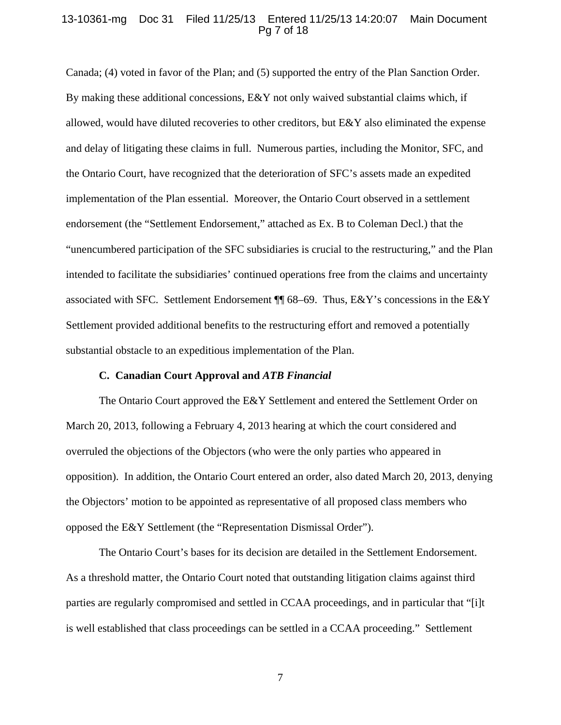#### 13-10361-mg Doc 31 Filed 11/25/13 Entered 11/25/13 14:20:07 Main Document Pg 7 of 18

Canada; (4) voted in favor of the Plan; and (5) supported the entry of the Plan Sanction Order. By making these additional concessions, E&Y not only waived substantial claims which, if allowed, would have diluted recoveries to other creditors, but E&Y also eliminated the expense and delay of litigating these claims in full. Numerous parties, including the Monitor, SFC, and the Ontario Court, have recognized that the deterioration of SFC's assets made an expedited implementation of the Plan essential. Moreover, the Ontario Court observed in a settlement endorsement (the "Settlement Endorsement," attached as Ex. B to Coleman Decl.) that the "unencumbered participation of the SFC subsidiaries is crucial to the restructuring," and the Plan intended to facilitate the subsidiaries' continued operations free from the claims and uncertainty associated with SFC. Settlement Endorsement ¶¶ 68–69. Thus, E&Y's concessions in the E&Y Settlement provided additional benefits to the restructuring effort and removed a potentially substantial obstacle to an expeditious implementation of the Plan.

#### **C. Canadian Court Approval and** *ATB Financial*

The Ontario Court approved the E&Y Settlement and entered the Settlement Order on March 20, 2013, following a February 4, 2013 hearing at which the court considered and overruled the objections of the Objectors (who were the only parties who appeared in opposition). In addition, the Ontario Court entered an order, also dated March 20, 2013, denying the Objectors' motion to be appointed as representative of all proposed class members who opposed the E&Y Settlement (the "Representation Dismissal Order").

The Ontario Court's bases for its decision are detailed in the Settlement Endorsement. As a threshold matter, the Ontario Court noted that outstanding litigation claims against third parties are regularly compromised and settled in CCAA proceedings, and in particular that "[i]t is well established that class proceedings can be settled in a CCAA proceeding." Settlement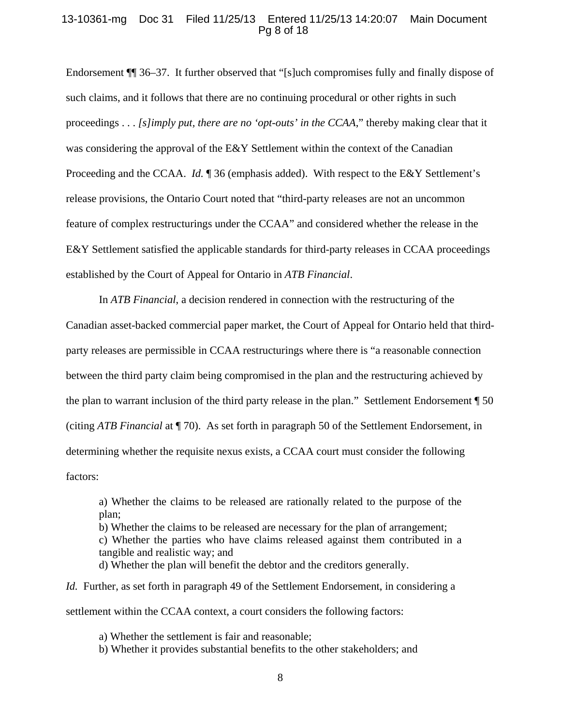#### 13-10361-mg Doc 31 Filed 11/25/13 Entered 11/25/13 14:20:07 Main Document Pg 8 of 18

Endorsement ¶¶ 36–37. It further observed that "[s]uch compromises fully and finally dispose of such claims, and it follows that there are no continuing procedural or other rights in such proceedings . . . *[s]imply put, there are no 'opt-outs' in the CCAA*," thereby making clear that it was considering the approval of the E&Y Settlement within the context of the Canadian Proceeding and the CCAA. *Id.* **[**] 36 (emphasis added). With respect to the E&Y Settlement's release provisions, the Ontario Court noted that "third-party releases are not an uncommon feature of complex restructurings under the CCAA" and considered whether the release in the E&Y Settlement satisfied the applicable standards for third-party releases in CCAA proceedings established by the Court of Appeal for Ontario in *ATB Financial*.

In *ATB Financial*, a decision rendered in connection with the restructuring of the Canadian asset-backed commercial paper market, the Court of Appeal for Ontario held that thirdparty releases are permissible in CCAA restructurings where there is "a reasonable connection between the third party claim being compromised in the plan and the restructuring achieved by the plan to warrant inclusion of the third party release in the plan." Settlement Endorsement ¶ 50 (citing *ATB Financial* at ¶ 70). As set forth in paragraph 50 of the Settlement Endorsement, in determining whether the requisite nexus exists, a CCAA court must consider the following factors:

a) Whether the claims to be released are rationally related to the purpose of the plan;

b) Whether the claims to be released are necessary for the plan of arrangement; c) Whether the parties who have claims released against them contributed in a tangible and realistic way; and

d) Whether the plan will benefit the debtor and the creditors generally.

*Id.* Further, as set forth in paragraph 49 of the Settlement Endorsement, in considering a settlement within the CCAA context, a court considers the following factors:

a) Whether the settlement is fair and reasonable;

b) Whether it provides substantial benefits to the other stakeholders; and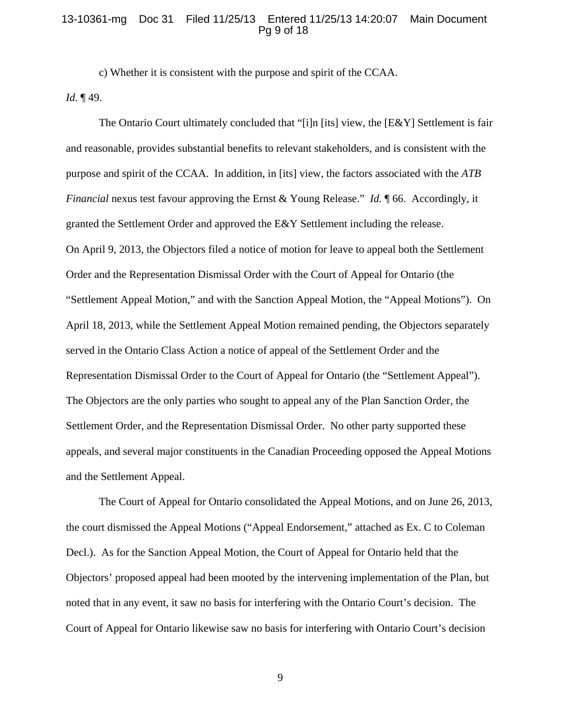#### 13-10361-mg Doc 31 Filed 11/25/13 Entered 11/25/13 14:20:07 Main Document Pg 9 of 18

c) Whether it is consistent with the purpose and spirit of the CCAA. *Id.* ¶ 49.

The Ontario Court ultimately concluded that "[i]n [its] view, the  $[E&Y]$  Settlement is fair and reasonable, provides substantial benefits to relevant stakeholders, and is consistent with the purpose and spirit of the CCAA. In addition, in [its] view, the factors associated with the *ATB Financial* nexus test favour approving the Ernst & Young Release." *Id.* 166. Accordingly, it granted the Settlement Order and approved the E&Y Settlement including the release. On April 9, 2013, the Objectors filed a notice of motion for leave to appeal both the Settlement Order and the Representation Dismissal Order with the Court of Appeal for Ontario (the "Settlement Appeal Motion," and with the Sanction Appeal Motion, the "Appeal Motions"). On April 18, 2013, while the Settlement Appeal Motion remained pending, the Objectors separately served in the Ontario Class Action a notice of appeal of the Settlement Order and the Representation Dismissal Order to the Court of Appeal for Ontario (the "Settlement Appeal"). The Objectors are the only parties who sought to appeal any of the Plan Sanction Order, the Settlement Order, and the Representation Dismissal Order. No other party supported these appeals, and several major constituents in the Canadian Proceeding opposed the Appeal Motions and the Settlement Appeal.

The Court of Appeal for Ontario consolidated the Appeal Motions, and on June 26, 2013, the court dismissed the Appeal Motions ("Appeal Endorsement," attached as Ex. C to Coleman Decl.). As for the Sanction Appeal Motion, the Court of Appeal for Ontario held that the Objectors' proposed appeal had been mooted by the intervening implementation of the Plan, but noted that in any event, it saw no basis for interfering with the Ontario Court's decision. The Court of Appeal for Ontario likewise saw no basis for interfering with Ontario Court's decision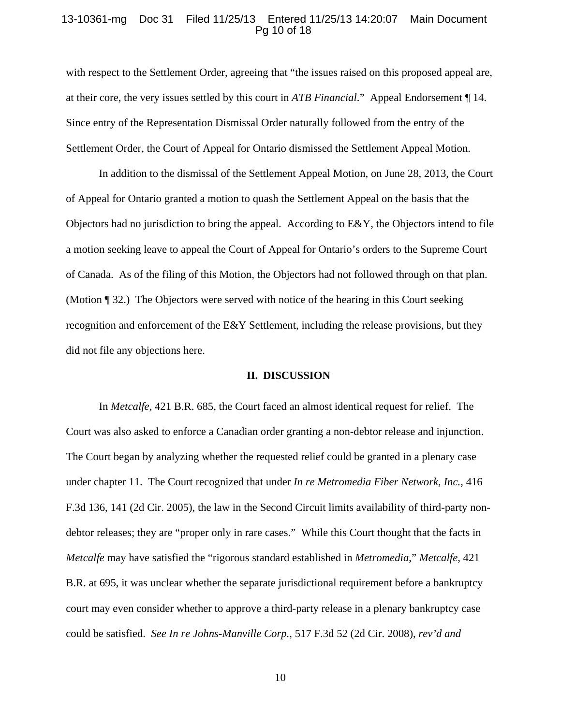#### 13-10361-mg Doc 31 Filed 11/25/13 Entered 11/25/13 14:20:07 Main Document Pg 10 of 18

with respect to the Settlement Order, agreeing that "the issues raised on this proposed appeal are, at their core, the very issues settled by this court in *ATB Financial*." Appeal Endorsement ¶ 14. Since entry of the Representation Dismissal Order naturally followed from the entry of the Settlement Order, the Court of Appeal for Ontario dismissed the Settlement Appeal Motion.

In addition to the dismissal of the Settlement Appeal Motion, on June 28, 2013, the Court of Appeal for Ontario granted a motion to quash the Settlement Appeal on the basis that the Objectors had no jurisdiction to bring the appeal. According to E&Y, the Objectors intend to file a motion seeking leave to appeal the Court of Appeal for Ontario's orders to the Supreme Court of Canada. As of the filing of this Motion, the Objectors had not followed through on that plan. (Motion ¶ 32.) The Objectors were served with notice of the hearing in this Court seeking recognition and enforcement of the E&Y Settlement, including the release provisions, but they did not file any objections here.

#### **II. DISCUSSION**

In *Metcalfe*, 421 B.R. 685, the Court faced an almost identical request for relief. The Court was also asked to enforce a Canadian order granting a non-debtor release and injunction. The Court began by analyzing whether the requested relief could be granted in a plenary case under chapter 11. The Court recognized that under *In re Metromedia Fiber Network, Inc.*, 416 F.3d 136, 141 (2d Cir. 2005), the law in the Second Circuit limits availability of third-party nondebtor releases; they are "proper only in rare cases." While this Court thought that the facts in *Metcalfe* may have satisfied the "rigorous standard established in *Metromedia*," *Metcalfe*, 421 B.R. at 695, it was unclear whether the separate jurisdictional requirement before a bankruptcy court may even consider whether to approve a third-party release in a plenary bankruptcy case could be satisfied. *See In re Johns-Manville Corp.*, 517 F.3d 52 (2d Cir. 2008), *rev'd and*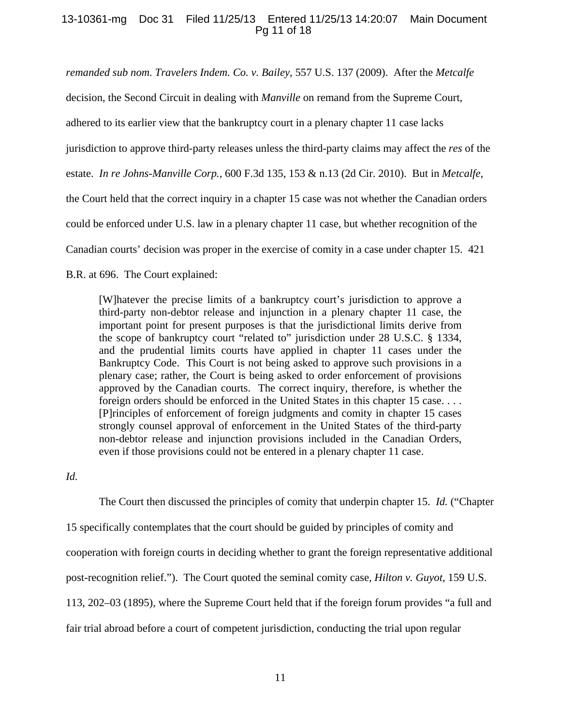# 13-10361-mg Doc 31 Filed 11/25/13 Entered 11/25/13 14:20:07 Main Document Pg 11 of 18

*remanded sub nom. Travelers Indem. Co. v. Bailey*, 557 U.S. 137 (2009). After the *Metcalfe* decision, the Second Circuit in dealing with *Manville* on remand from the Supreme Court, adhered to its earlier view that the bankruptcy court in a plenary chapter 11 case lacks jurisdiction to approve third-party releases unless the third-party claims may affect the *res* of the estate. *In re Johns-Manville Corp.*, 600 F.3d 135, 153 & n.13 (2d Cir. 2010). But in *Metcalfe*, the Court held that the correct inquiry in a chapter 15 case was not whether the Canadian orders could be enforced under U.S. law in a plenary chapter 11 case, but whether recognition of the Canadian courts' decision was proper in the exercise of comity in a case under chapter 15. 421 B.R. at 696. The Court explained:

[W]hatever the precise limits of a bankruptcy court's jurisdiction to approve a third-party non-debtor release and injunction in a plenary chapter 11 case, the important point for present purposes is that the jurisdictional limits derive from the scope of bankruptcy court "related to" jurisdiction under 28 U.S.C. § 1334, and the prudential limits courts have applied in chapter 11 cases under the Bankruptcy Code. This Court is not being asked to approve such provisions in a plenary case; rather, the Court is being asked to order enforcement of provisions approved by the Canadian courts. The correct inquiry, therefore, is whether the foreign orders should be enforced in the United States in this chapter 15 case. . . . [P]rinciples of enforcement of foreign judgments and comity in chapter 15 cases strongly counsel approval of enforcement in the United States of the third-party non-debtor release and injunction provisions included in the Canadian Orders, even if those provisions could not be entered in a plenary chapter 11 case.

*Id.* 

The Court then discussed the principles of comity that underpin chapter 15. *Id.* ("Chapter 15 specifically contemplates that the court should be guided by principles of comity and cooperation with foreign courts in deciding whether to grant the foreign representative additional post-recognition relief."). The Court quoted the seminal comity case, *Hilton v. Guyot*, 159 U.S. 113, 202–03 (1895), where the Supreme Court held that if the foreign forum provides "a full and fair trial abroad before a court of competent jurisdiction, conducting the trial upon regular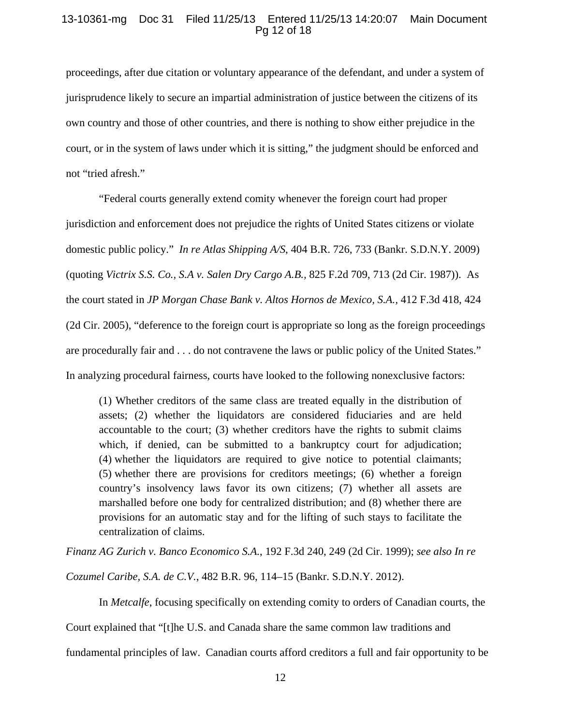## 13-10361-mg Doc 31 Filed 11/25/13 Entered 11/25/13 14:20:07 Main Document Pg 12 of 18

proceedings, after due citation or voluntary appearance of the defendant, and under a system of jurisprudence likely to secure an impartial administration of justice between the citizens of its own country and those of other countries, and there is nothing to show either prejudice in the court, or in the system of laws under which it is sitting," the judgment should be enforced and not "tried afresh."

"Federal courts generally extend comity whenever the foreign court had proper jurisdiction and enforcement does not prejudice the rights of United States citizens or violate domestic public policy." *In re Atlas Shipping A/S*, 404 B.R. 726, 733 (Bankr. S.D.N.Y. 2009) (quoting *Victrix S.S. Co., S.A v. Salen Dry Cargo A.B.,* 825 F.2d 709, 713 (2d Cir. 1987)). As the court stated in *JP Morgan Chase Bank v. Altos Hornos de Mexico, S.A.,* 412 F.3d 418, 424 (2d Cir. 2005), "deference to the foreign court is appropriate so long as the foreign proceedings are procedurally fair and . . . do not contravene the laws or public policy of the United States." In analyzing procedural fairness, courts have looked to the following nonexclusive factors:

(1) Whether creditors of the same class are treated equally in the distribution of assets; (2) whether the liquidators are considered fiduciaries and are held accountable to the court; (3) whether creditors have the rights to submit claims which, if denied, can be submitted to a bankruptcy court for adjudication; (4) whether the liquidators are required to give notice to potential claimants; (5) whether there are provisions for creditors meetings; (6) whether a foreign country's insolvency laws favor its own citizens; (7) whether all assets are marshalled before one body for centralized distribution; and (8) whether there are provisions for an automatic stay and for the lifting of such stays to facilitate the centralization of claims.

*Finanz AG Zurich v. Banco Economico S.A.*, 192 F.3d 240, 249 (2d Cir. 1999); *see also In re* 

*Cozumel Caribe, S.A. de C.V.*, 482 B.R. 96, 114–15 (Bankr. S.D.N.Y. 2012).

In *Metcalfe*, focusing specifically on extending comity to orders of Canadian courts, the Court explained that "[t]he U.S. and Canada share the same common law traditions and fundamental principles of law. Canadian courts afford creditors a full and fair opportunity to be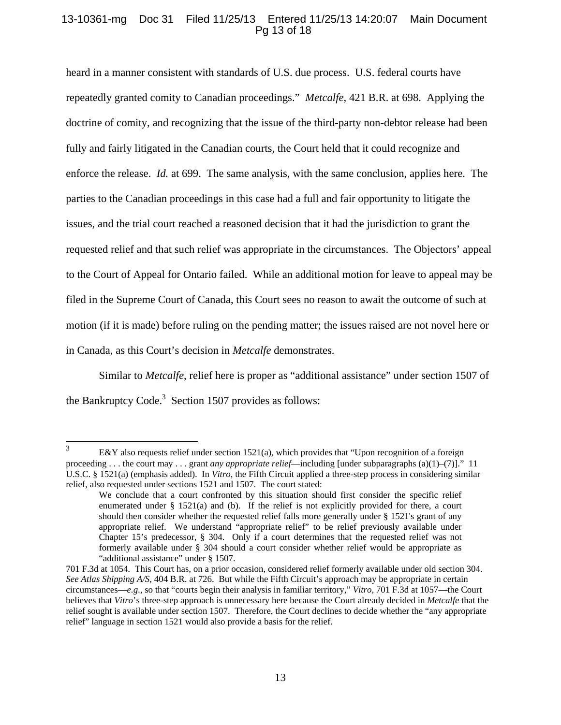# 13-10361-mg Doc 31 Filed 11/25/13 Entered 11/25/13 14:20:07 Main Document Pg 13 of 18

heard in a manner consistent with standards of U.S. due process. U.S. federal courts have repeatedly granted comity to Canadian proceedings." *Metcalfe*, 421 B.R. at 698. Applying the doctrine of comity, and recognizing that the issue of the third-party non-debtor release had been fully and fairly litigated in the Canadian courts, the Court held that it could recognize and enforce the release. *Id.* at 699. The same analysis, with the same conclusion, applies here. The parties to the Canadian proceedings in this case had a full and fair opportunity to litigate the issues, and the trial court reached a reasoned decision that it had the jurisdiction to grant the requested relief and that such relief was appropriate in the circumstances. The Objectors' appeal to the Court of Appeal for Ontario failed. While an additional motion for leave to appeal may be filed in the Supreme Court of Canada, this Court sees no reason to await the outcome of such at motion (if it is made) before ruling on the pending matter; the issues raised are not novel here or in Canada, as this Court's decision in *Metcalfe* demonstrates.

Similar to *Metcalfe*, relief here is proper as "additional assistance" under section 1507 of the Bankruptcy Code.<sup>3</sup> Section 1507 provides as follows:

 3 E&Y also requests relief under section 1521(a), which provides that "Upon recognition of a foreign proceeding . . . the court may . . . grant *any appropriate relief*—including [under subparagraphs (a)(1)–(7)]." 11 U.S.C. § 1521(a) (emphasis added). In *Vitro*, the Fifth Circuit applied a three-step process in considering similar relief, also requested under sections 1521 and 1507. The court stated:

We conclude that a court confronted by this situation should first consider the specific relief enumerated under § 1521(a) and (b). If the relief is not explicitly provided for there, a court should then consider whether the requested relief falls more generally under § 1521's grant of any appropriate relief. We understand "appropriate relief" to be relief previously available under Chapter 15's predecessor, § 304. Only if a court determines that the requested relief was not formerly available under § 304 should a court consider whether relief would be appropriate as "additional assistance" under § 1507.

<sup>701</sup> F.3d at 1054*.* This Court has, on a prior occasion, considered relief formerly available under old section 304. *See Atlas Shipping A/S*, 404 B.R. at 726. But while the Fifth Circuit's approach may be appropriate in certain circumstances—*e.g*., so that "courts begin their analysis in familiar territory," *Vitro*, 701 F.3d at 1057—the Court believes that *Vitro*'s three-step approach is unnecessary here because the Court already decided in *Metcalfe* that the relief sought is available under section 1507. Therefore, the Court declines to decide whether the "any appropriate relief" language in section 1521 would also provide a basis for the relief.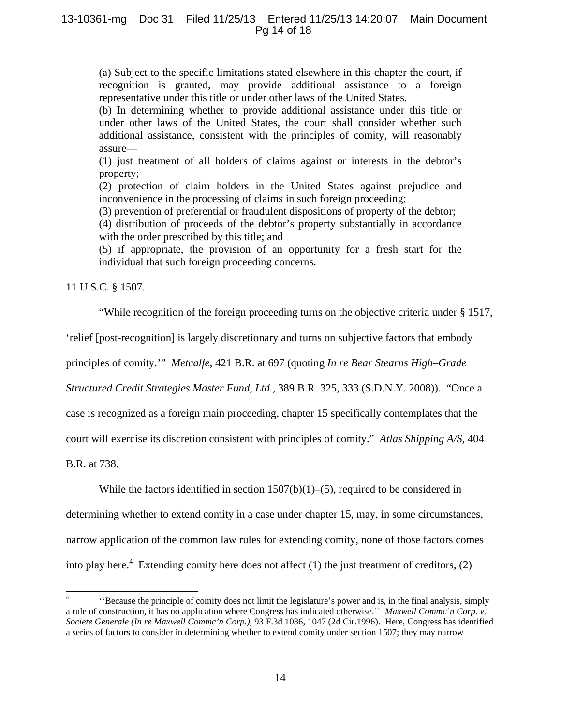# 13-10361-mg Doc 31 Filed 11/25/13 Entered 11/25/13 14:20:07 Main Document Pg 14 of 18

(a) Subject to the specific limitations stated elsewhere in this chapter the court, if recognition is granted, may provide additional assistance to a foreign representative under this title or under other laws of the United States.

(b) In determining whether to provide additional assistance under this title or under other laws of the United States, the court shall consider whether such additional assistance, consistent with the principles of comity, will reasonably assure—

(1) just treatment of all holders of claims against or interests in the debtor's property;

(2) protection of claim holders in the United States against prejudice and inconvenience in the processing of claims in such foreign proceeding;

(3) prevention of preferential or fraudulent dispositions of property of the debtor;

(4) distribution of proceeds of the debtor's property substantially in accordance with the order prescribed by this title; and

(5) if appropriate, the provision of an opportunity for a fresh start for the individual that such foreign proceeding concerns.

11 U.S.C. § 1507.

"While recognition of the foreign proceeding turns on the objective criteria under § 1517,

'relief [post-recognition] is largely discretionary and turns on subjective factors that embody

principles of comity.'" *Metcalfe*, 421 B.R. at 697 (quoting *In re Bear Stearns High–Grade* 

*Structured Credit Strategies Master Fund, Ltd.*, 389 B.R. 325, 333 (S.D.N.Y. 2008)). "Once a

case is recognized as a foreign main proceeding, chapter 15 specifically contemplates that the

court will exercise its discretion consistent with principles of comity." *Atlas Shipping A/S*, 404

B.R. at 738.

 $\overline{\phantom{a}}$ 

While the factors identified in section  $1507(b)(1)–(5)$ , required to be considered in

determining whether to extend comity in a case under chapter 15, may, in some circumstances,

narrow application of the common law rules for extending comity, none of those factors comes

into play here.<sup>4</sup> Extending comity here does not affect  $(1)$  the just treatment of creditors,  $(2)$ 

<sup>4</sup> ''Because the principle of comity does not limit the legislature's power and is, in the final analysis, simply a rule of construction, it has no application where Congress has indicated otherwise.'' *Maxwell Commc'n Corp. v. Societe Generale (In re Maxwell Commc'n Corp.),* 93 F.3d 1036, 1047 (2d Cir.1996). Here, Congress has identified a series of factors to consider in determining whether to extend comity under section 1507; they may narrow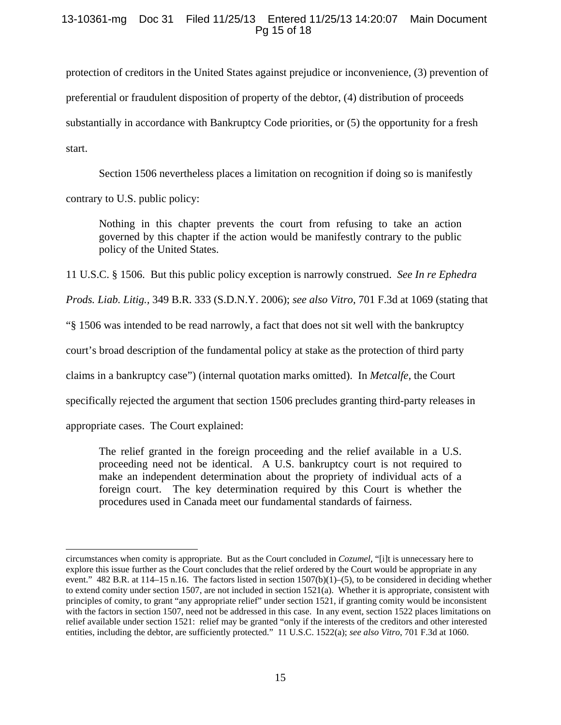# 13-10361-mg Doc 31 Filed 11/25/13 Entered 11/25/13 14:20:07 Main Document Pg 15 of 18

protection of creditors in the United States against prejudice or inconvenience, (3) prevention of preferential or fraudulent disposition of property of the debtor, (4) distribution of proceeds substantially in accordance with Bankruptcy Code priorities, or (5) the opportunity for a fresh start.

Section 1506 nevertheless places a limitation on recognition if doing so is manifestly

contrary to U.S. public policy:

Nothing in this chapter prevents the court from refusing to take an action governed by this chapter if the action would be manifestly contrary to the public policy of the United States.

11 U.S.C. § 1506. But this public policy exception is narrowly construed. *See In re Ephedra* 

*Prods. Liab. Litig.,* 349 B.R. 333 (S.D.N.Y. 2006); *see also Vitro*, 701 F.3d at 1069 (stating that

"§ 1506 was intended to be read narrowly, a fact that does not sit well with the bankruptcy

court's broad description of the fundamental policy at stake as the protection of third party

claims in a bankruptcy case") (internal quotation marks omitted). In *Metcalfe*, the Court

specifically rejected the argument that section 1506 precludes granting third-party releases in

appropriate cases. The Court explained:

l

The relief granted in the foreign proceeding and the relief available in a U.S. proceeding need not be identical. A U.S. bankruptcy court is not required to make an independent determination about the propriety of individual acts of a foreign court. The key determination required by this Court is whether the procedures used in Canada meet our fundamental standards of fairness.

circumstances when comity is appropriate. But as the Court concluded in *Cozumel*, "[i]t is unnecessary here to explore this issue further as the Court concludes that the relief ordered by the Court would be appropriate in any event."  $482$  B.R. at 114–15 n.16. The factors listed in section  $1507(b)(1)$ –(5), to be considered in deciding whether to extend comity under section 1507, are not included in section 1521(a). Whether it is appropriate, consistent with principles of comity, to grant "any appropriate relief" under section 1521, if granting comity would be inconsistent with the factors in section 1507, need not be addressed in this case. In any event, section 1522 places limitations on relief available under section 1521: relief may be granted "only if the interests of the creditors and other interested entities, including the debtor, are sufficiently protected." 11 U.S.C. 1522(a); *see also Vitro*, 701 F.3d at 1060.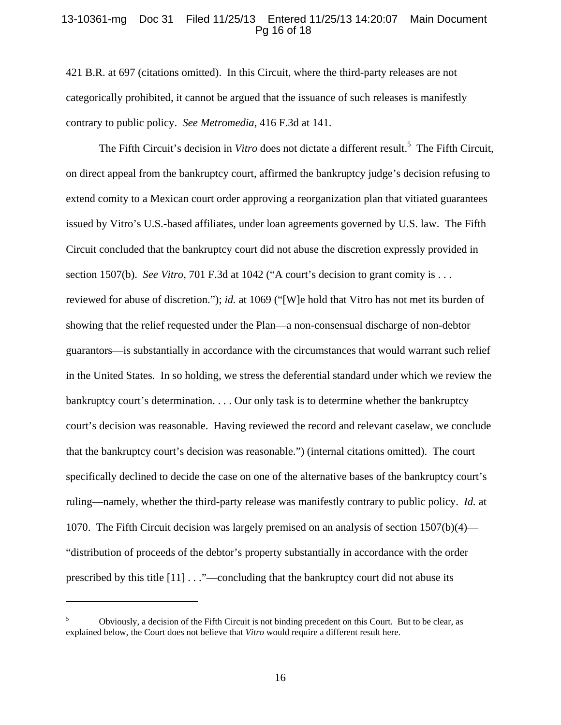### 13-10361-mg Doc 31 Filed 11/25/13 Entered 11/25/13 14:20:07 Main Document Pg 16 of 18

421 B.R. at 697 (citations omitted). In this Circuit, where the third-party releases are not categorically prohibited, it cannot be argued that the issuance of such releases is manifestly contrary to public policy. *See Metromedia*, 416 F.3d at 141.

The Fifth Circuit's decision in *Vitro* does not dictate a different result.<sup>5</sup> The Fifth Circuit, on direct appeal from the bankruptcy court, affirmed the bankruptcy judge's decision refusing to extend comity to a Mexican court order approving a reorganization plan that vitiated guarantees issued by Vitro's U.S.-based affiliates, under loan agreements governed by U.S. law. The Fifth Circuit concluded that the bankruptcy court did not abuse the discretion expressly provided in section 1507(b). *See Vitro*, 701 F.3d at 1042 ("A court's decision to grant comity is . . . reviewed for abuse of discretion."); *id.* at 1069 ("[W]e hold that Vitro has not met its burden of showing that the relief requested under the Plan—a non-consensual discharge of non-debtor guarantors—is substantially in accordance with the circumstances that would warrant such relief in the United States. In so holding, we stress the deferential standard under which we review the bankruptcy court's determination. . . . Our only task is to determine whether the bankruptcy court's decision was reasonable. Having reviewed the record and relevant caselaw, we conclude that the bankruptcy court's decision was reasonable.") (internal citations omitted). The court specifically declined to decide the case on one of the alternative bases of the bankruptcy court's ruling—namely, whether the third-party release was manifestly contrary to public policy. *Id.* at 1070. The Fifth Circuit decision was largely premised on an analysis of section 1507(b)(4)— "distribution of proceeds of the debtor's property substantially in accordance with the order prescribed by this title  $[11] \dots$  "—concluding that the bankruptcy court did not abuse its

l

<sup>5</sup> Obviously, a decision of the Fifth Circuit is not binding precedent on this Court. But to be clear, as explained below, the Court does not believe that *Vitro* would require a different result here.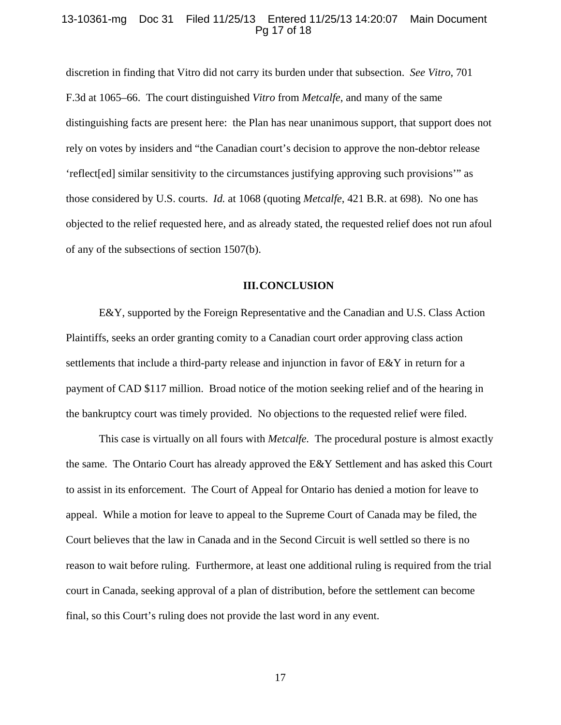#### 13-10361-mg Doc 31 Filed 11/25/13 Entered 11/25/13 14:20:07 Main Document Pg 17 of 18

discretion in finding that Vitro did not carry its burden under that subsection. *See Vitro*, 701 F.3d at 1065–66. The court distinguished *Vitro* from *Metcalfe*, and many of the same distinguishing facts are present here: the Plan has near unanimous support, that support does not rely on votes by insiders and "the Canadian court's decision to approve the non-debtor release 'reflect[ed] similar sensitivity to the circumstances justifying approving such provisions'" as those considered by U.S. courts. *Id.* at 1068 (quoting *Metcalfe*, 421 B.R. at 698). No one has objected to the relief requested here, and as already stated, the requested relief does not run afoul of any of the subsections of section 1507(b).

#### **III.CONCLUSION**

E&Y, supported by the Foreign Representative and the Canadian and U.S. Class Action Plaintiffs, seeks an order granting comity to a Canadian court order approving class action settlements that include a third-party release and injunction in favor of E&Y in return for a payment of CAD \$117 million. Broad notice of the motion seeking relief and of the hearing in the bankruptcy court was timely provided. No objections to the requested relief were filed.

This case is virtually on all fours with *Metcalfe.* The procedural posture is almost exactly the same. The Ontario Court has already approved the E&Y Settlement and has asked this Court to assist in its enforcement. The Court of Appeal for Ontario has denied a motion for leave to appeal. While a motion for leave to appeal to the Supreme Court of Canada may be filed, the Court believes that the law in Canada and in the Second Circuit is well settled so there is no reason to wait before ruling. Furthermore, at least one additional ruling is required from the trial court in Canada, seeking approval of a plan of distribution, before the settlement can become final, so this Court's ruling does not provide the last word in any event.